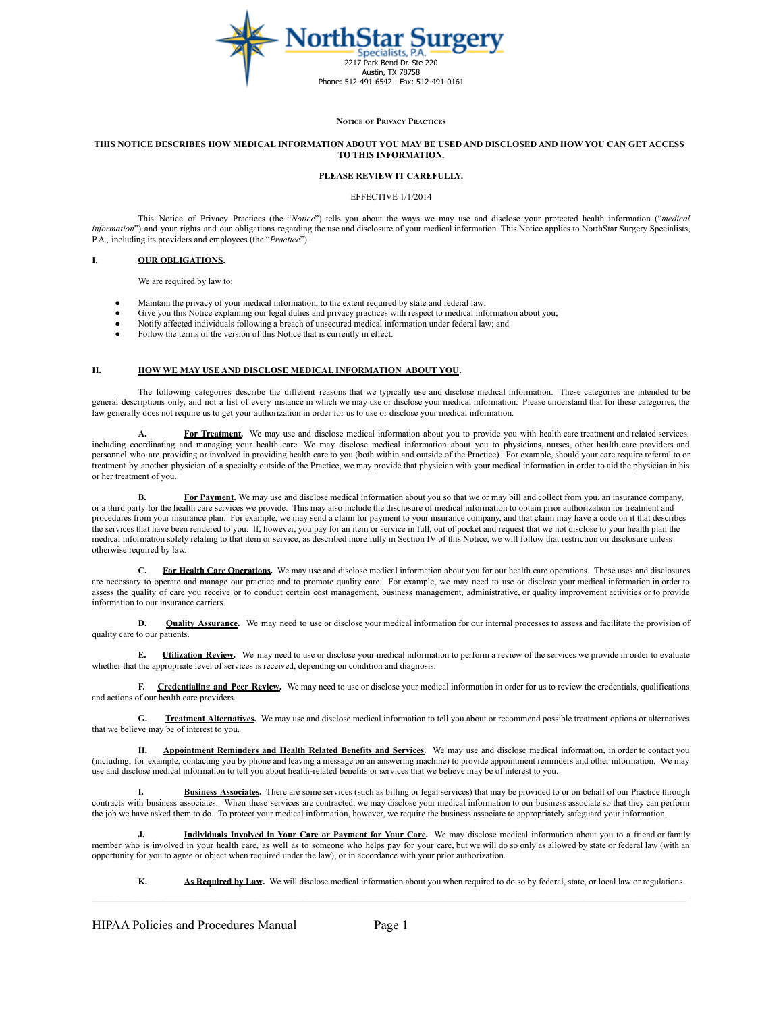

#### **NOTICE OF PRIVACY PRACTICES**

#### THIS NOTICE DESCRIBES HOW MEDICAL INFORMATION ABOUT YOU MAY BE USED AND DISCLOSED AND HOW YOU CAN GET ACCESS **TO THIS INFORMATION.**

## **PLEASE REVIEW IT CAREFULLY.**

#### EFFECTIVE 1/1/2014

This Notice of Privacy Practices (the "*Notice*") tells you about the ways we may use and disclose your protected health information ("*medical information*") and your rights and our obligations regarding the use and disclosure of your medical information. This Notice applies to NorthStar Surgery Specialists, P.A.*,* including its providers and employees (the "*Practice*").

## **I. OUR OBLIGATIONS.**

We are required by law to:

- Maintain the privacy of your medical information, to the extent required by state and federal law;
- Give you this Notice explaining our legal duties and privacy practices with respect to medical information about you;
- Notify affected individuals following a breach of unsecured medical information under federal law; and
- Follow the terms of the version of this Notice that is currently in effect.

## **II. HOW WE MAY USE AND DISCLOSE MEDICAL INFORMATION ABOUT YOU.**

The following categories describe the different reasons that we typically use and disclose medical information. These categories are intended to be general descriptions only, and not a list of every instance in which we may use or disclose your medical information. Please understand that for these categories, the law generally does not require us to get your authorization in order for us to use or disclose your medical information.

For Treatment. We may use and disclose medical information about you to provide you with health care treatment and related services, including coordinating and managing your health care. We may disclose medical information about you to physicians, nurses, other health care providers and personnel who are providing or involved in providing health care to you (both within and outside of the Practice). For example, should your care require referral to or treatment by another physician of a specialty outside of the Practice, we may provide that physician with your medical information in order to aid the physician in his or her treatment of you.

**B. For Payment.** We may use and disclose medical information about you so that we or may bill and collect from you, an insurance company, or a third party for the health care services we provide. This may also include the disclosure of medical information to obtain prior authorization for treatment and procedures from your insurance plan. For example, we may send a claim for payment to your insurance company, and that claim may have a code on it that describes the services that have been rendered to you. If, however, you pay for an item or service in full, out of pocket and request that we not disclose to your health plan the medical information solely relating to that item or service, as described more fully in Section IV of this Notice, we will follow that restriction on disclosure unless otherwise required by law.

**C. For Health Care Operations.** We may use and disclose medical information about you for our health care operations. These uses and disclosures are necessary to operate and manage our practice and to promote quality care. For example, we may need to use or disclose your medical information in order to assess the quality of care you receive or to conduct certain cost management, business management, administrative, or quality improvement activities or to provide information to our insurance carriers.

**D. Quality Assurance.** We may need to use or disclose your medical information for our internal processes to assess and facilitate the provision of quality care to our patients.

**E. Utilization Review.** We may need to use or disclose your medical information to perform a review of the services we provide in order to evaluate whether that the appropriate level of services is received, depending on condition and diagnosis.

**F. Credentialing and Peer Review.** We may need to use or disclose your medical information in order for us to review the credentials, qualifications and actions of our health care providers.

**G. Treatment Alternatives.** We may use and disclose medical information to tell you about or recommend possible treatment options or alternatives that we believe may be of interest to you.

**H. Appointment Reminders and Health Related Benefits and Services**. We may use and disclose medical information, in order to contact you (including, for example, contacting you by phone and leaving a message on an answering machine) to provide appointment reminders and other information. We may use and disclose medical information to tell you about health-related benefits or services that we believe may be of interest to you.

**I. Business Associates.** There are some services (such as billing or legal services) that may be provided to or on behalf of our Practice through contracts with business associates. When these services are contracted, we may disclose your medical information to our business associate so that they can perform the job we have asked them to do. To protect your medical information, however, we require the business associate to appropriately safeguard your information.

**J. Individuals Involved in Your Care or Payment for Your Care.** We may disclose medical information about you to a friend or family member who is involved in your health care, as well as to someone who helps pay for your care, but we will do so only as allowed by state or federal law (with an opportunity for you to agree or object when required under the law), or in accordance with your prior authorization.

**K. As Required by Law.** We will disclose medical information about you when required to do so by federal, state, or local law or regulations.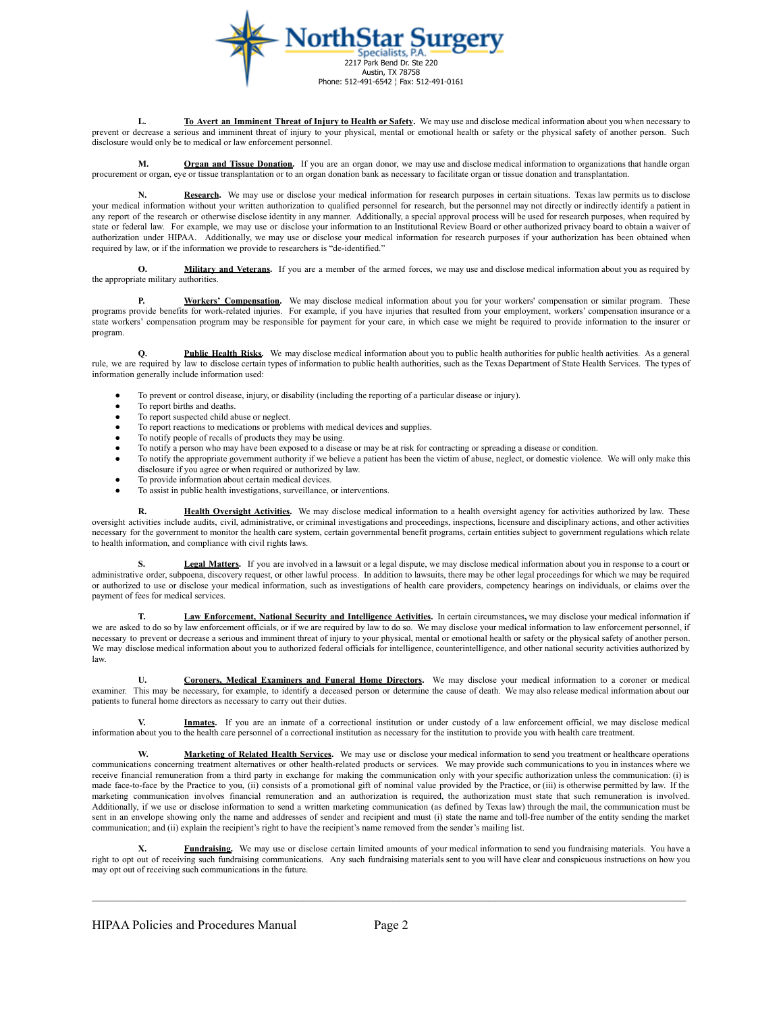

**L. To Avert an Imminent Threat of Injury to Health or Safety.** We may use and disclose medical information about you when necessary to prevent or decrease a serious and imminent threat of injury to your physical, mental or emotional health or safety or the physical safety of another person. Such disclosure would only be to medical or law enforcement personnel.

**M. Organ and Tissue Donation.** If you are an organ donor, we may use and disclose medical information to organizations that handle organ procurement or organ, eye or tissue transplantation or to an organ donation bank as necessary to facilitate organ or tissue donation and transplantation.

Research. We may use or disclose your medical information for research purposes in certain situations. Texas law permits us to disclose your medical information without your written authorization to qualified personnel for research, but the personnel may not directly or indirectly identify a patient in any report of the research or otherwise disclose identity in any manner. Additionally, a special approval process will be used for research purposes, when required by state or federal law. For example, we may use or disclose your information to an Institutional Review Board or other authorized privacy board to obtain a waiver of authorization under HIPAA. Additionally, we may use or disclose your medical information for research purposes if your authorization has been obtained when required by law, or if the information we provide to researchers is "de-identified."

**O. Military and Veterans.** If you are a member of the armed forces, we may use and disclose medical information about you as required by the appropriate military authorities.

**P. Workers' Compensation.** We may disclose medical information about you for your workers' compensation or similar program. These programs provide benefits for work-related injuries. For example, if you have injuries that resulted from your employment, workers' compensation insurance or a state workers' compensation program may be responsible for payment for your care, in which case we might be required to provide information to the insurer or program.

Public Health Risks. We may disclose medical information about you to public health authorities for public health activities. As a general rule, we are required by law to disclose certain types of information to public health authorities, such as the Texas Department of State Health Services. The types of information generally include information used:

- To prevent or control disease, injury, or disability (including the reporting of a particular disease or injury).
- To report births and deaths.
- To report suspected child abuse or neglect.
- To report reactions to medications or problems with medical devices and supplies.
- To notify people of recalls of products they may be using.
- To notify a person who may have been exposed to a disease or may be at risk for contracting or spreading a disease or condition.
- To notify the appropriate government authority if we believe a patient has been the victim of abuse, neglect, or domestic violence. We will only make this disclosure if you agree or when required or authorized by law.
- To provide information about certain medical devices.
- To assist in public health investigations, surveillance, or interventions.

Health Oversight Activities. We may disclose medical information to a health oversight agency for activities authorized by law. These oversight activities include audits, civil, administrative, or criminal investigations and proceedings, inspections, licensure and disciplinary actions, and other activities necessary for the government to monitor the health care system, certain governmental benefit programs, certain entities subject to government regulations which relate to health information, and compliance with civil rights laws.

**S. Legal Matters.** If you are involved in a lawsuit or a legal dispute, we may disclose medical information about you in response to a court or administrative order, subpoena, discovery request, or other lawful process. In addition to lawsuits, there may be other legal proceedings for which we may be required or authorized to use or disclose your medical information, such as investigations of health care providers, competency hearings on individuals, or claims over the payment of fees for medical services.

**T. Law Enforcement, National Security and Intelligence Activities.** In certain circumstances**,** we may disclose your medical information if we are asked to do so by law enforcement officials, or if we are required by law to do so. We may disclose your medical information to law enforcement personnel, if necessary to prevent or decrease a serious and imminent threat of injury to your physical, mental or emotional health or safety or the physical safety of another person. We may disclose medical information about you to authorized federal officials for intelligence, counterintelligence, and other national security activities authorized by law.

**U. Coroners, Medical Examiners and Funeral Home Directors.** We may disclose your medical information to a coroner or medical examiner. This may be necessary, for example, to identify a deceased person or determine the cause of death. We may also release medical information about our patients to funeral home directors as necessary to carry out their duties.

Inmates. If you are an inmate of a correctional institution or under custody of a law enforcement official, we may disclose medical information about you to the health care personnel of a correctional institution as necessary for the institution to provide you with health care treatment.

W. Marketing of Related Health Services. We may use or disclose your medical information to send you treatment or healthcare operations communications concerning treatment alternatives or other health-related products or services. We may provide such communications to you in instances where we receive financial remuneration from a third party in exchange for making the communication only with your specific authorization unless the communication: (i) is made face-to-face by the Practice to you, (ii) consists of a promotional gift of nominal value provided by the Practice, or (iii) is otherwise permitted by law. If the marketing communication involves financial remuneration and an authorization is required, the authorization must state that such remuneration is involved. Additionally, if we use or disclose information to send a written marketing communication (as defined by Texas law) through the mail, the communication must be sent in an envelope showing only the name and addresses of sender and recipient and must (i) state the name and toll-free number of the entity sending the market communication; and (ii) explain the recipient's right to have the recipient's name removed from the sender's mailing list.

**X. Fundraising.** We may use or disclose certain limited amounts of your medical information to send you fundraising materials. You have a right to opt out of receiving such fundraising communications. Any such fundraising materials sent to you will have clear and conspicuous instructions on how you may opt out of receiving such communications in the future.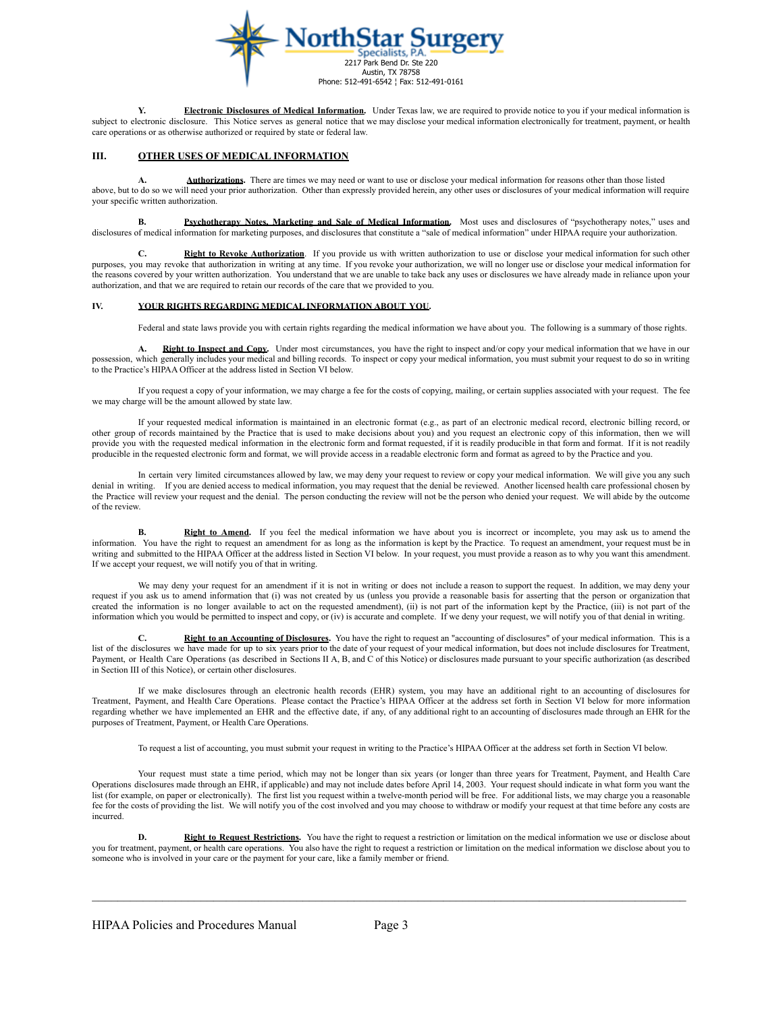

**Y. Electronic Disclosures of Medical Information.** Under Texas law, we are required to provide notice to you if your medical information is subject to electronic disclosure. This Notice serves as general notice that we may disclose your medical information electronically for treatment, payment, or health care operations or as otherwise authorized or required by state or federal law.

# **III. OTHER USES OF MEDICAL INFORMATION**

**A. Authorizations.** There are times we may need or want to use or disclose your medical information for reasons other than those listed above, but to do so we will need your prior authorization. Other than expressly provided herein, any other uses or disclosures of your medical information will require your specific written authorization.

**B. Psychotherapy Notes, Marketing and Sale of Medical Information.** Most uses and disclosures of "psychotherapy notes," uses and disclosures of medical information for marketing purposes, and disclosures that constitute a "sale of medical information" under HIPAA require your authorization.

**C. Right to Revoke Authorization**. If you provide us with written authorization to use or disclose your medical information for such other purposes, you may revoke that authorization in writing at any time. If you revoke your authorization, we will no longer use or disclose your medical information for the reasons covered by your written authorization. You understand that we are unable to take back any uses or disclosures we have already made in reliance upon your authorization, and that we are required to retain our records of the care that we provided to you.

## **IV. YOUR RIGHTS REGARDING MEDICAL INFORMATION ABOUT YOU.**

Federal and state laws provide you with certain rights regarding the medical information we have about you. The following is a summary of those rights.

**Right to Inspect and Copy.** Under most circumstances, you have the right to inspect and/or copy your medical information that we have in our possession, which generally includes your medical and billing records. To inspect or copy your medical information, you must submit your request to do so in writing to the Practice's HIPAA Officer at the address listed in Section VI below.

If you request a copy of your information, we may charge a fee for the costs of copying, mailing, or certain supplies associated with your request. The fee we may charge will be the amount allowed by state law.

If your requested medical information is maintained in an electronic format (e.g., as part of an electronic medical record, electronic billing record, or other group of records maintained by the Practice that is used to make decisions about you) and you request an electronic copy of this information, then we will provide you with the requested medical information in the electronic form and format requested, if it is readily producible in that form and format. If it is not readily producible in the requested electronic form and format, we will provide access in a readable electronic form and format as agreed to by the Practice and you.

In certain very limited circumstances allowed by law, we may deny your request to review or copy your medical information. We will give you any such denial in writing. If you are denied access to medical information, you may request that the denial be reviewed. Another licensed health care professional chosen by the Practice will review your request and the denial. The person conducting the review will not be the person who denied your request. We will abide by the outcome of the review.

**B. Right to Amend.** If you feel the medical information we have about you is incorrect or incomplete, you may ask us to amend the information. You have the right to request an amendment for as long as the information is kept by the Practice. To request an amendment, your request must be in writing and submitted to the HIPAA Officer at the address listed in Section VI below. In your request, you must provide a reason as to why you want this amendment. If we accept your request, we will notify you of that in writing.

We may deny your request for an amendment if it is not in writing or does not include a reason to support the request. In addition, we may deny your request if you ask us to amend information that (i) was not created by us (unless you provide a reasonable basis for asserting that the person or organization that created the information is no longer available to act on the requested amendment), (ii) is not part of the information kept by the Practice, (iii) is not part of the information which you would be permitted to inspect and copy, or (iv) is accurate and complete. If we deny your request, we will notify you of that denial in writing.

**C. Right to an Accounting of Disclosures.** You have the right to request an "accounting of disclosures" of your medical information. This is a list of the disclosures we have made for up to six years prior to the date of your request of your medical information, but does not include disclosures for Treatment, Payment, or Health Care Operations (as described in Sections II A, B, and C of this Notice) or disclosures made pursuant to your specific authorization (as described in Section III of this Notice), or certain other disclosures.

If we make disclosures through an electronic health records (EHR) system, you may have an additional right to an accounting of disclosures for Treatment, Payment, and Health Care Operations. Please contact the Practice's HIPAA Officer at the address set forth in Section VI below for more information regarding whether we have implemented an EHR and the effective date, if any, of any additional right to an accounting of disclosures made through an EHR for the purposes of Treatment, Payment, or Health Care Operations.

To request a list of accounting, you must submit your request in writing to the Practice's HIPAA Officer at the address set forth in Section VI below.

Your request must state a time period, which may not be longer than six years (or longer than three years for Treatment, Payment, and Health Care Operations disclosures made through an EHR, if applicable) and may not include dates before April 14, 2003. Your request should indicate in what form you want the list (for example, on paper or electronically). The first list you request within a twelve-month period will be free. For additional lists, we may charge you a reasonable fee for the costs of providing the list. We will notify you of the cost involved and you may choose to withdraw or modify your request at that time before any costs are incurred.

**D. Right to Request Restrictions**. You have the right to request a restriction or limitation on the medical information we use or disclose about you for treatment, payment, or health care operations. You also have the right to request a restriction or limitation on the medical information we disclose about you to someone who is involved in your care or the payment for your care, like a family member or friend.